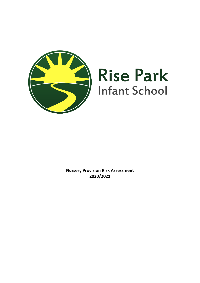

# **Rise Park Infant School**

**Nursery Provision Risk Assessment 2020/2021**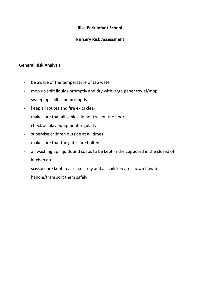### **Rise Park Infant School**

#### **Nursery Risk Assessment**

#### **General Risk Analysis**

- be aware of the temperature of tap water
- mop up spilt liquids promptly and dry with large paper towel/mop
- sweep up spilt sand promptly
- keep all routes and fire exits clear
- make sure that all cables do not trail on the floor
- check all play equipment regularly
- supervise children outside at all times
- make sure that the gates are bolted
- all washing up liquids and soaps to be kept in the cupboard in the closed off kitchen area
- scissors are kept in a scissor tray and all children are shown how to handle/transport them safely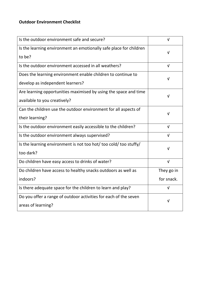| Is the outdoor environment safe and secure?                                  | $\sqrt{ }$ |
|------------------------------------------------------------------------------|------------|
| Is the learning environment an emotionally safe place for children<br>to be? | ν          |
|                                                                              |            |
| Is the outdoor environment accessed in all weathers?                         | $\sqrt{ }$ |
| Does the learning environment enable children to continue to                 |            |
| develop as independent learners?                                             |            |
| Are learning opportunities maximised by using the space and time             | $\sqrt{}$  |
| available to you creatively?                                                 |            |
| Can the children use the outdoor environment for all aspects of              | v          |
| their learning?                                                              |            |
| Is the outdoor environment easily accessible to the children?                | $\sqrt{ }$ |
| Is the outdoor environment always supervised?                                | V          |
| Is the learning environment is not too hot/ too cold/ too stuffy/            | V          |
| too dark?                                                                    |            |
| Do children have easy access to drinks of water?                             | $\sqrt{ }$ |
| Do children have access to healthy snacks outdoors as well as                | They go in |
| indoors?                                                                     | for snack. |
| Is there adequate space for the children to learn and play?                  | $\sqrt{ }$ |
| Do you offer a range of outdoor activities for each of the seven             |            |
| areas of learning?                                                           |            |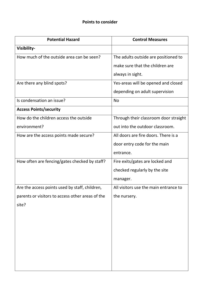## **Points to consider**

| <b>Potential Hazard</b>                          | <b>Control Measures</b>               |
|--------------------------------------------------|---------------------------------------|
| Visibility-                                      |                                       |
| How much of the outside area can be seen?        | The adults outside are positioned to  |
|                                                  | make sure that the children are       |
|                                                  | always in sight.                      |
| Are there any blind spots?                       | Yes-areas will be opened and closed   |
|                                                  | depending on adult supervision        |
| Is condensation an issue?                        | <b>No</b>                             |
| <b>Access Points/security</b>                    |                                       |
| How do the children access the outside           | Through their classroom door straight |
| environment?                                     | out into the outdoor classroom.       |
| How are the access points made secure?           | All doors are fire doors. There is a  |
|                                                  | door entry code for the main          |
|                                                  | entrance.                             |
| How often are fencing/gates checked by staff?    | Fire exits/gates are locked and       |
|                                                  | checked regularly by the site         |
|                                                  | manager.                              |
| Are the access points used by staff, children,   | All visitors use the main entrance to |
| parents or visitors to access other areas of the | the nursery.                          |
| site?                                            |                                       |
|                                                  |                                       |
|                                                  |                                       |
|                                                  |                                       |
|                                                  |                                       |
|                                                  |                                       |
|                                                  |                                       |
|                                                  |                                       |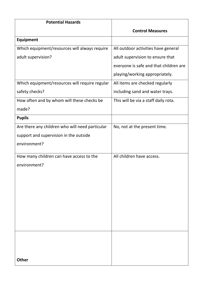| <b>Potential Hazards</b>                        |                                        |
|-------------------------------------------------|----------------------------------------|
|                                                 | <b>Control Measures</b>                |
| <b>Equipment</b>                                |                                        |
| Which equipment/resources will always require   | All outdoor activities have general    |
| adult supervision?                              | adult supervision to ensure that       |
|                                                 | everyone is safe and that children are |
|                                                 | playing/working appropriately.         |
| Which equipment/resources will require regular  | All items are checked regularly        |
| safety checks?                                  | including sand and water trays.        |
| How often and by whom will these checks be      | This will be via a staff daily rota.   |
| made?                                           |                                        |
| <b>Pupils</b>                                   |                                        |
| Are there any children who will need particular | No, not at the present time.           |
| support and supervision in the outside          |                                        |
| environment?                                    |                                        |
| How many children can have access to the        | All children have access.              |
| environment?                                    |                                        |
|                                                 |                                        |
|                                                 |                                        |
|                                                 |                                        |
|                                                 |                                        |
|                                                 |                                        |
|                                                 |                                        |
|                                                 |                                        |
|                                                 |                                        |
|                                                 |                                        |
|                                                 |                                        |
| <b>Other</b>                                    |                                        |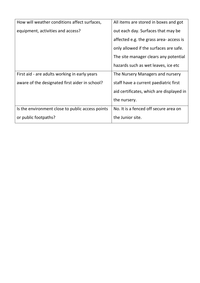| How will weather conditions affect surfaces,     | All items are stored in boxes and got    |
|--------------------------------------------------|------------------------------------------|
| equipment, activities and access?                | out each day. Surfaces that may be       |
|                                                  | affected e.g. the grass area- access is  |
|                                                  | only allowed if the surfaces are safe.   |
|                                                  | The site manager clears any potential    |
|                                                  | hazards such as wet leaves, ice etc      |
| First aid - are adults working in early years    | The Nursery Managers and nursery         |
| aware of the designated first aider in school?   | staff have a current paediatric first    |
|                                                  | aid certificates, which are displayed in |
|                                                  | the nursery.                             |
| Is the environment close to public access points | No. It is a fenced off secure area on    |
| or public footpaths?                             | the Junior site.                         |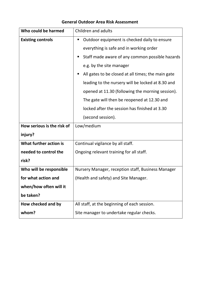| Who could be harmed        | Children and adults                                  |  |  |
|----------------------------|------------------------------------------------------|--|--|
| <b>Existing controls</b>   | Outdoor equipment is checked daily to ensure<br>ш    |  |  |
|                            | everything is safe and in working order              |  |  |
|                            | Staff made aware of any common possible hazards<br>ш |  |  |
|                            | e.g. by the site manager                             |  |  |
|                            | All gates to be closed at all times; the main gate   |  |  |
|                            | leading to the nursery will be locked at 8.30 and    |  |  |
|                            | opened at 11.30 (following the morning session).     |  |  |
|                            | The gate will then be reopened at 12.30 and          |  |  |
|                            | locked after the session has finished at 3.30        |  |  |
|                            | (second session).                                    |  |  |
| How serious is the risk of | Low/medium                                           |  |  |
| injury?                    |                                                      |  |  |
| What further action is     | Continual vigilance by all staff.                    |  |  |
| needed to control the      | Ongoing relevant training for all staff.             |  |  |
| risk?                      |                                                      |  |  |
| Who will be responsible    | Nursery Manager, reception staff, Business Manager   |  |  |
| for what action and        | (Health and safety) and Site Manager.                |  |  |
| when/how often will it     |                                                      |  |  |
| be taken?                  |                                                      |  |  |
| How checked and by         | All staff, at the beginning of each session.         |  |  |
| whom?                      | Site manager to undertake regular checks.            |  |  |

## **General Outdoor Area Risk Assessment**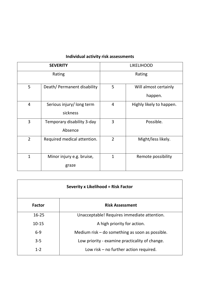|                | <b>SEVERITY</b>                       |                | <b>LIKELIHOOD</b>                |  |
|----------------|---------------------------------------|----------------|----------------------------------|--|
|                | Rating                                | Rating         |                                  |  |
| 5              | Death/ Permanent disability           | 5              | Will almost certainly<br>happen. |  |
| $\overline{4}$ | Serious injury/long term<br>sickness  | 4              | Highly likely to happen.         |  |
| 3              | Temporary disability 3-day<br>Absence | 3              | Possible.                        |  |
| $\overline{2}$ | Required medical attention.           | $\overline{2}$ | Might/less likely.               |  |
| $\mathbf{1}$   | Minor injury e.g. bruise,<br>graze    | $\overline{1}$ | Remote possibility               |  |

# **Individual activity risk assessments**

| <b>Severity x Likelihood = Risk Factor</b> |                                                   |  |  |
|--------------------------------------------|---------------------------------------------------|--|--|
| Factor                                     | <b>Risk Assessment</b>                            |  |  |
| $16 - 25$                                  | Unacceptable! Requires immediate attention.       |  |  |
| $10 - 15$                                  | A high priority for action.                       |  |  |
| $6 - 9$                                    | Medium risk $-$ do something as soon as possible. |  |  |
| $3 - 5$                                    | Low priority - examine practicality of change.    |  |  |
| $1 - 2$                                    | Low risk $-$ no further action required.          |  |  |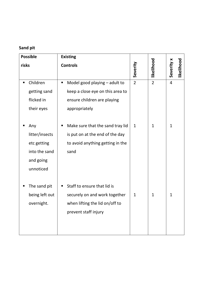# **Sand pit**

|       | <b>Possible</b>                                                                 |   | <b>Existing</b>                                                                                                        |                |                |                |            |
|-------|---------------------------------------------------------------------------------|---|------------------------------------------------------------------------------------------------------------------------|----------------|----------------|----------------|------------|
| risks |                                                                                 |   | <b>Controls</b>                                                                                                        | Severity       | likelihood     | Severity x     | likelihood |
| п     | Children<br>getting sand<br>flicked in<br>their eyes                            | П | Model good playing - adult to<br>keep a close eye on this area to<br>ensure children are playing<br>appropriately      | $\overline{2}$ | $\overline{2}$ | $\overline{4}$ |            |
|       | Any<br>litter/insects<br>etc getting<br>into the sand<br>and going<br>unnoticed | п | Make sure that the sand tray lid<br>is put on at the end of the day<br>to avoid anything getting in the<br>sand        | $\mathbf{1}$   | $\mathbf{1}$   | $\mathbf{1}$   |            |
|       | The sand pit<br>being left out<br>overnight.                                    |   | Staff to ensure that lid is<br>securely on and work together<br>when lifting the lid on/off to<br>prevent staff injury | 1              | $\mathbf{1}$   | $\mathbf{1}$   |            |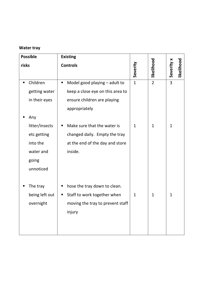# **Water tray**

|       | <b>Possible</b>                                                 |                | <b>Existing</b>                                                                                                   |              |                |                |            |
|-------|-----------------------------------------------------------------|----------------|-------------------------------------------------------------------------------------------------------------------|--------------|----------------|----------------|------------|
| risks |                                                                 |                | <b>Controls</b>                                                                                                   | Severity     | likelihood     | Severity x     | likelihood |
| ٠     | Children<br>getting water<br>in their eyes<br>Any               | $\blacksquare$ | Model good playing - adult to<br>keep a close eye on this area to<br>ensure children are playing<br>appropriately | $\mathbf{1}$ | $\overline{2}$ | $\overline{3}$ |            |
|       | litter/insects<br>etc getting<br>into the<br>water and<br>going | п              | Make sure that the water is<br>changed daily. Empty the tray<br>at the end of the day and store<br>inside.        | $\mathbf{1}$ | $\mathbf{1}$   | $\mathbf{1}$   |            |
|       | unnoticed<br>The tray<br>being left out<br>overnight            | п<br>п         | hose the tray down to clean.<br>Staff to work together when<br>moving the tray to prevent staff<br>injury         | $\mathbf{1}$ | $\mathbf{1}$   | $\mathbf{1}$   |            |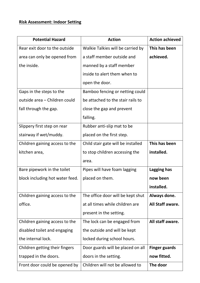## **Risk Assessment: Indoor Setting**

| <b>Potential Hazard</b>         | <b>Action</b>                      | <b>Action achieved</b> |
|---------------------------------|------------------------------------|------------------------|
| Rear exit door to the outside   | Walkie Talkies will be carried by  | This has been          |
| area can only be opened from    | a staff member outside and         | achieved.              |
| the inside.                     | manned by a staff member           |                        |
|                                 | inside to alert them when to       |                        |
|                                 | open the door.                     |                        |
| Gaps in the steps to the        | Bamboo fencing or netting could    |                        |
| outside area - Children could   | be attached to the stair rails to  |                        |
| fall through the gap.           | close the gap and prevent          |                        |
|                                 | falling.                           |                        |
| Slippery first step on rear     | Rubber anti-slip mat to be         |                        |
| stairway if wet/muddy.          | placed on the first step.          |                        |
| Children gaining access to the  | Child stair gate will be installed | This has been          |
| kitchen area,                   | to stop children accessing the     | installed.             |
|                                 | area.                              |                        |
| Bare pipework in the toilet     | Pipes will have foam lagging       | Lagging has            |
| block including hot water feed. | placed on them.                    | now been               |
|                                 |                                    | installed.             |
| Children gaining access to the  | The office door will be kept shut  | Always done.           |
| office.                         | at all times while children are    | All Staff aware.       |
|                                 | present in the setting.            |                        |
| Children gaining access to the  | The lock can be engaged from       | All staff aware.       |
| disabled toilet and engaging    | the outside and will be kept       |                        |
| the internal lock.              | locked during school hours.        |                        |
| Children getting their fingers  | Door guards will be placed on all  | <b>Finger guards</b>   |
| trapped in the doors.           | doors in the setting.              | now fitted.            |
| Front door could be opened by   | Children will not be allowed to    | The door               |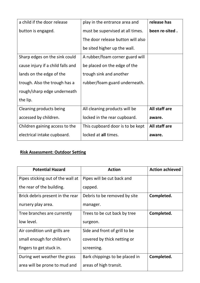| a child if the door release       | play in the entrance area and     | release has    |
|-----------------------------------|-----------------------------------|----------------|
| button is engaged.                | must be supervised at all times.  | been re-sited. |
|                                   | The door release button will also |                |
|                                   | be sited higher up the wall.      |                |
| Sharp edges on the sink could     | A rubber/foam corner guard will   |                |
| cause injury if a child falls and | be placed on the edge of the      |                |
| lands on the edge of the          | trough sink and another           |                |
| trough. Also the trough has a     | rubber/foam guard underneath.     |                |
| rough/sharp edge underneath       |                                   |                |
| the lip.                          |                                   |                |
| Cleaning products being           | All cleaning products will be     | All staff are  |
| accessed by children.             | locked in the rear cupboard.      | aware.         |
| Children gaining access to the    | This cupboard door is to be kept  | All staff are  |
| electrical intake cupboard.       | locked at all times.              | aware.         |

# **Risk Assessment: Outdoor Setting**

| <b>Potential Hazard</b>           | <b>Action</b>                  | <b>Action achieved</b> |
|-----------------------------------|--------------------------------|------------------------|
| Pipes sticking out of the wall at | Pipes will be cut back and     |                        |
| the rear of the building.         | capped.                        |                        |
| Brick debris present in the rear  | Debris to be removed by site   | Completed.             |
| nursery play area.                | manager.                       |                        |
| Tree branches are currently       | Trees to be cut back by tree   | Completed.             |
| low level.                        | surgeon.                       |                        |
| Air condition unit grills are     | Side and front of grill to be  |                        |
| small enough for children's       | covered by thick netting or    |                        |
| fingers to get stuck in.          | screening.                     |                        |
| During wet weather the grass      | Bark chippings to be placed in | Completed.             |
| area will be prone to mud and     | areas of high transit.         |                        |